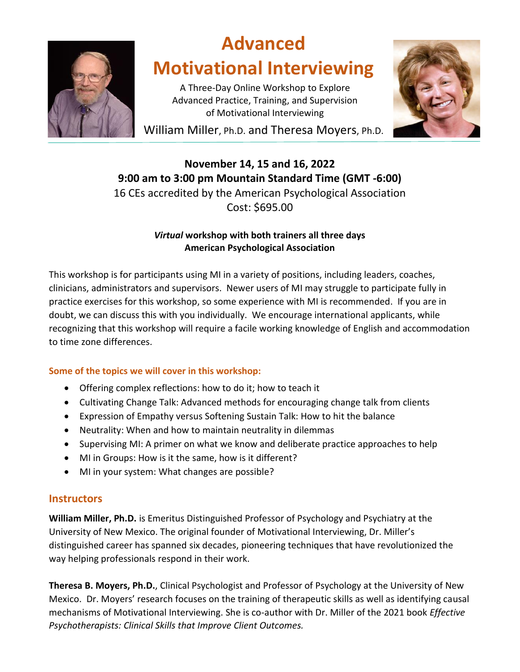

# **Advanced Motivational Interviewing**

A Three-Day Online Workshop to Explore Advanced Practice, Training, and Supervision of Motivational Interviewing



William Miller, Ph.D. and Theresa Moyers, Ph.D.

# **November 14, 15 and 16, 2022 9:00 am to 3:00 pm Mountain Standard Time (GMT -6:00)** 16 CEs accredited by the American Psychological Association Cost: \$695.00

#### *Virtual* **workshop with both trainers all three days American Psychological Association**

This workshop is for participants using MI in a variety of positions, including leaders, coaches, clinicians, administrators and supervisors. Newer users of MI may struggle to participate fully in practice exercises for this workshop, so some experience with MI is recommended. If you are in doubt, we can discuss this with you individually. We encourage international applicants, while recognizing that this workshop will require a facile working knowledge of English and accommodation to time zone differences.

## **Some of the topics we will cover in this workshop:**

- Offering complex reflections: how to do it; how to teach it
- Cultivating Change Talk: Advanced methods for encouraging change talk from clients
- Expression of Empathy versus Softening Sustain Talk: How to hit the balance
- Neutrality: When and how to maintain neutrality in dilemmas
- Supervising MI: A primer on what we know and deliberate practice approaches to help
- MI in Groups: How is it the same, how is it different?
- MI in your system: What changes are possible?

## **Instructors**

**William Miller, Ph.D.** is Emeritus Distinguished Professor of Psychology and Psychiatry at the University of New Mexico. The original founder of Motivational Interviewing, Dr. Miller's distinguished career has spanned six decades, pioneering techniques that have revolutionized the way helping professionals respond in their work.

**Theresa B. Moyers, Ph.D.**, Clinical Psychologist and Professor of Psychology at the University of New Mexico. Dr. Moyers' research focuses on the training of therapeutic skills as well as identifying causal mechanisms of Motivational Interviewing. She is co-author with Dr. Miller of the 2021 book *Effective Psychotherapists: Clinical Skills that Improve Client Outcomes.*